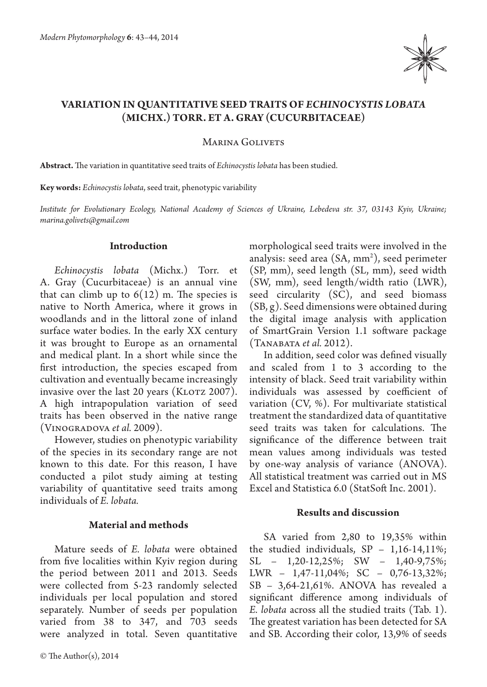

# **VARIATION IN QUANTITATIVE SEED TRAITS OF** *ECHINOCYSTIS LOBATA* **(MICHX.) TORR. ET A. GRAY (CUCURBITACEAE)**

MARINA GOLIVETS

**Abstract.** The variation in quantitative seed traits of *Echinocystis lobata* has been studied.

**Key words:** *Echinocystis lobata*, seed trait, phenotypic variability

*Institute for Evolutionary Ecology, National Academy of Sciences of Ukraine, Lebedeva str. 37, 03143 Kyiv, Ukraine; marina.golivets@gmail.com*

## **Introduction**

*Echinocystis lobata* (Michx.) Torr. et A. Gray (Cucurbitaceae) is an annual vine that can climb up to  $6(12)$  m. The species is native to North America, where it grows in woodlands and in the littoral zone of inland surface water bodies. In the early XX century it was brought to Europe as an ornamental and medical plant. In a short while since the first introduction, the species escaped from cultivation and eventually became increasingly invasive over the last 20 years (KLOTZ 2007). A high intrapopulation variation of seed traits has been observed in the native range (Vinogradova *et al.* 2009).

However, studies on phenotypic variability of the species in its secondary range are not known to this date. For this reason, I have conducted a pilot study aiming at testing variability of quantitative seed traits among individuals of *E. lobata.*

#### **Material and methods**

Mature seeds of *E. lobata* were obtained from five localities within Kyiv region during the period between 2011 and 2013. Seeds were collected from 5-23 randomly selected individuals per local population and stored separately. Number of seeds per population varied from 38 to 347, and 703 seeds were analyzed in total. Seven quantitative morphological seed traits were involved in the analysis: seed area (SA, mm<sup>2</sup>), seed perimeter (SP, mm), seed length (SL, mm), seed width (SW, mm), seed length/width ratio (LWR), seed circularity (SC), and seed biomass (SB, g). Seed dimensions were obtained during the digital image analysis with application of SmartGrain Version 1.1 software package (Tanabata *et al.* 2012).

In addition, seed color was defined visually and scaled from 1 to 3 according to the intensity of black. Seed trait variability within individuals was assessed by coefficient of variation  $(CV, %)$ . For multivariate statistical treatment the standardized data of quantitative seed traits was taken for calculations. The significance of the difference between trait mean values among individuals was tested by one-way analysis of variance (ANOVA). All statistical treatment was carried out in MS Excel and Statistica 6.0 (StatSoft Inc. 2001).

## **Results and discussion**

SA varied from 2,80 to 19,35% within the studied individuals, SP – 1,16-14,11%; SL – 1,20-12,25%; SW – 1,40-9,75%; LWR – 1,47-11,04%; SC – 0,76-13,32%; SB – 3,64-21,61%. ANOVA has revealed a significant difference among individuals of *E. lobata* across all the studied traits (Tab. 1). The greatest variation has been detected for SA and SB. According their color, 13,9% of seeds